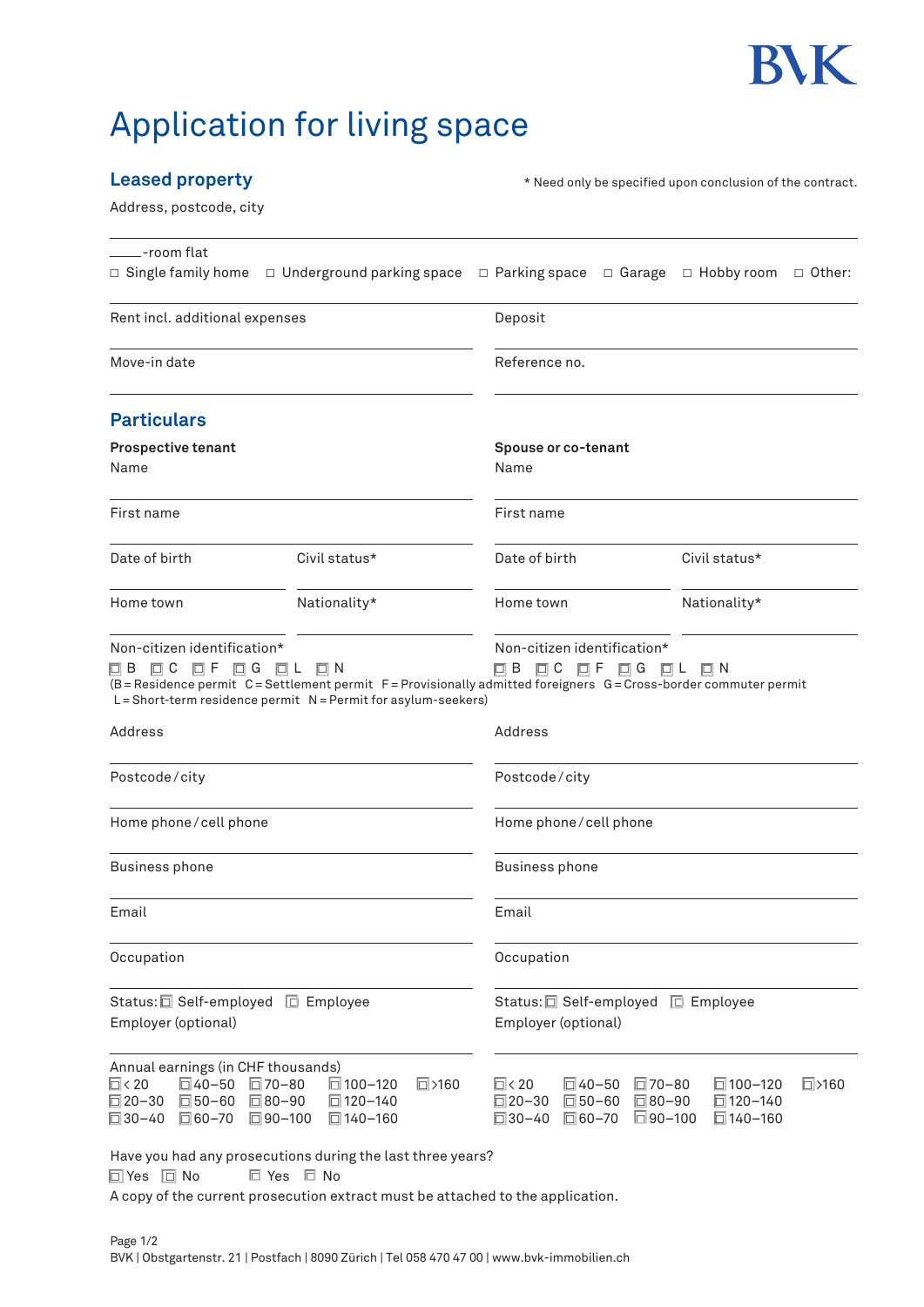

## Application for living space

## **Leased property**

\* Need only be specified upon conclusion of the contract.

Address, postcode, city

| ____-room flat                                                                                                                  |                                                                                                                                                                              |                                                                           | $\Box$ Single family home $\Box$ Underground parking space $\Box$ Parking space $\Box$ Garage $\Box$ Hobby room $\Box$ Other: |  |
|---------------------------------------------------------------------------------------------------------------------------------|------------------------------------------------------------------------------------------------------------------------------------------------------------------------------|---------------------------------------------------------------------------|-------------------------------------------------------------------------------------------------------------------------------|--|
| Rent incl. additional expenses                                                                                                  |                                                                                                                                                                              | Deposit                                                                   |                                                                                                                               |  |
| Move-in date                                                                                                                    |                                                                                                                                                                              | Reference no.                                                             |                                                                                                                               |  |
| <b>Particulars</b>                                                                                                              |                                                                                                                                                                              |                                                                           |                                                                                                                               |  |
| <b>Prospective tenant</b><br>Name                                                                                               |                                                                                                                                                                              | Spouse or co-tenant<br>Name                                               |                                                                                                                               |  |
| First name                                                                                                                      |                                                                                                                                                                              | First name                                                                |                                                                                                                               |  |
| Date of birth                                                                                                                   | Civil status*                                                                                                                                                                | Date of birth                                                             | Civil status*                                                                                                                 |  |
| Home town                                                                                                                       | Nationality*                                                                                                                                                                 | Home town                                                                 | Nationality*                                                                                                                  |  |
| Non-citizen identification*<br>OB OC OF OG OL ON                                                                                | (B=Residence permit C=Settlement permit F=Provisionally admitted foreigners G=Cross-border commuter permit<br>L = Short-term residence permit N = Permit for asylum-seekers) | Non-citizen identification*<br>O C O F O G O L O N<br>$\Box$ B            |                                                                                                                               |  |
| Address                                                                                                                         |                                                                                                                                                                              | Address                                                                   |                                                                                                                               |  |
| Postcode/city                                                                                                                   |                                                                                                                                                                              | Postcode/city                                                             |                                                                                                                               |  |
| Home phone/cell phone                                                                                                           |                                                                                                                                                                              | Home phone/cell phone                                                     |                                                                                                                               |  |
| <b>Business phone</b>                                                                                                           |                                                                                                                                                                              | <b>Business phone</b>                                                     |                                                                                                                               |  |
| Email                                                                                                                           |                                                                                                                                                                              | Email                                                                     |                                                                                                                               |  |
| Occupation                                                                                                                      |                                                                                                                                                                              | Occupation                                                                |                                                                                                                               |  |
| Status: <b>□</b> Self-employed □ Employee<br>Employer (optional)                                                                |                                                                                                                                                                              | Status: <b>□</b> Self-employed □ Employee<br>Employer (optional)          |                                                                                                                               |  |
| Annual earnings (in CHF thousands)<br>$\overline{\square}$ < 20<br>$\Box$ 40-50<br>$\Box$ 20-30<br>□50-60<br>□ 30-40<br>□ 60-70 | $\Box$ 100-120<br>$\Box$ 70-80<br>$\Box$ >160<br>□80-90<br>□ 120-140<br>□90-100<br>□ 140-160                                                                                 | $\Box$ < 20<br>$\Box$ 40-50<br>□20-30<br>□50-60<br>□30-40<br>$\Box$ 60-70 | □70-80<br>$\Box$ 100-120<br>$\Box$ >160<br>□80-90<br>$\Box$ 120-140<br>$\Box$ 90-100<br>$\Box$ 140-160                        |  |
| □ Yes □ No                                                                                                                      | Have you had any prosecutions during the last three years?<br>□ Yes □ No<br>A copy of the current prosecution extract must be attached to the application.                   |                                                                           |                                                                                                                               |  |